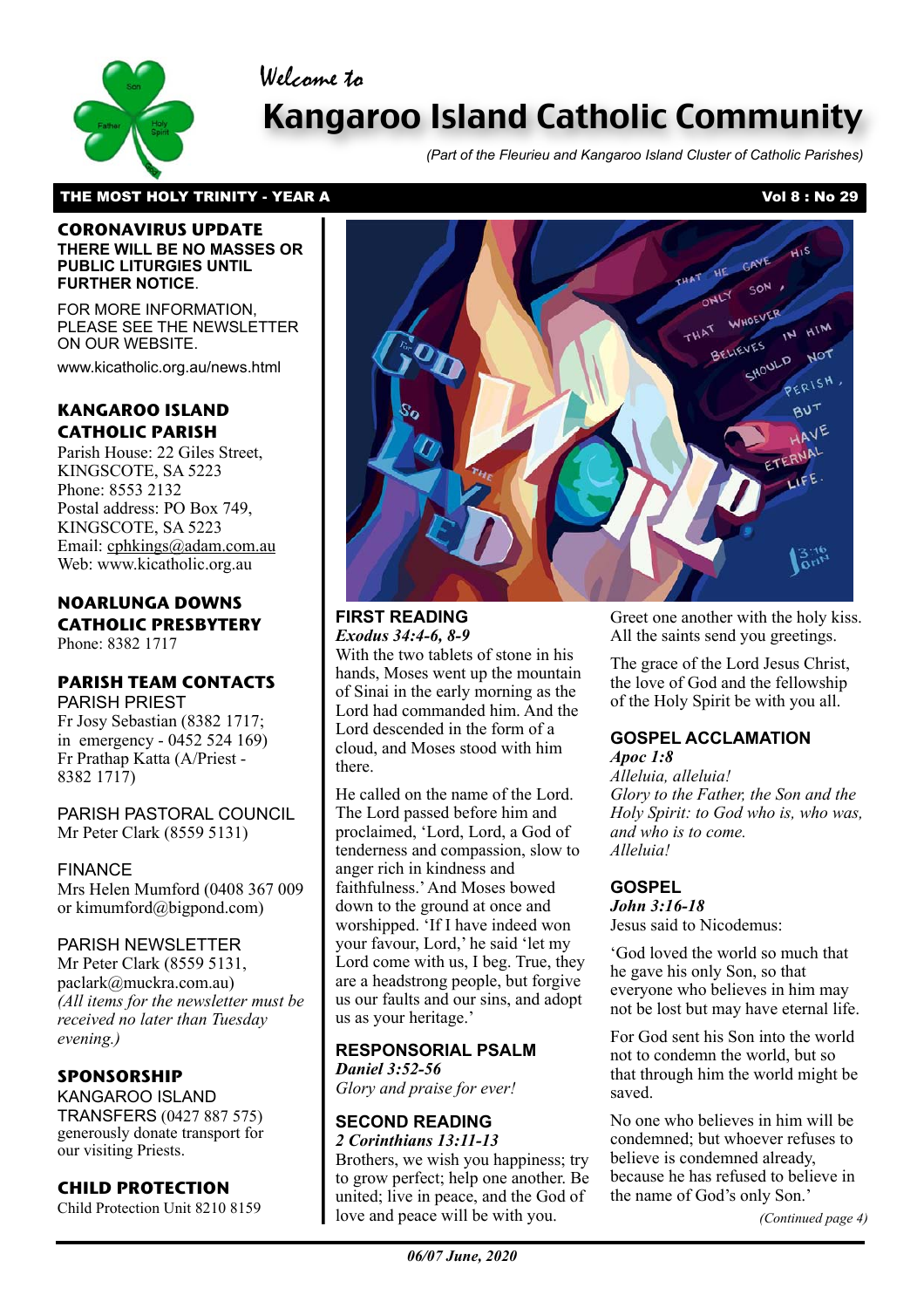Welcome to



# Kangaroo Island Catholic Community

*(Part of the Fleurieu and Kangaroo Island Cluster of Catholic Parishes)*

# THE MOST HOLY TRINITY - YEAR A Vol 8 : No 29

#### **CORONAVIRUS UPDATE THERE WILL BE NO MASSES OR PUBLIC LITURGIES UNTIL FURTHER NOTICE**.

FOR MORE INFORMATION, PLEASE SEE THE NEWSLETTER ON OUR WEBSITE.

www.kicatholic.org.au/news.html

# **KANGAROO ISLAND CATHOLIC PARISH**

Parish House: 22 Giles Street, KINGSCOTE, SA 5223 Phone: 8553 2132 Postal address: PO Box 749, KINGSCOTE, SA 5223 Email: cphkings@adam.com.au Web: www.kicatholic.org.au

#### **NOARLUNGA DOWNS CATHOLIC PRESBYTERY** Phone: 8382 1717

# **PARISH TEAM CONTACTS**

PARISH PRIEST Fr Josy Sebastian (8382 1717; in emergency - 0452 524 169) Fr Prathap Katta (A/Priest - 8382 1717)

PARISH PASTORAL COUNCIL Mr Peter Clark (8559 5131)

### FINANCE

Mrs Helen Mumford (0408 367 009 or kimumford@bigpond.com)

# PARISH NEWSLETTER

Mr Peter Clark (8559 5131, paclark@muckra.com.au) *(All items for the newsletter must be received no later than Tuesday evening.)*

### **SPONSORSHIP**

KANGAROO ISLAND TRANSFERS (0427 887 575) generously donate transport for our visiting Priests.

### **CHILD PROTECTION**

Child Protection Unit 8210 8159



#### **FIRST READING** *Exodus 34:4-6, 8-9*

With the two tablets of stone in his hands, Moses went up the mountain of Sinai in the early morning as the Lord had commanded him. And the Lord descended in the form of a cloud, and Moses stood with him there.

He called on the name of the Lord. The Lord passed before him and proclaimed, 'Lord, Lord, a God of tenderness and compassion, slow to anger rich in kindness and faithfulness.' And Moses bowed down to the ground at once and worshipped. 'If I have indeed won your favour, Lord,' he said 'let my Lord come with us, I beg. True, they are a headstrong people, but forgive us our faults and our sins, and adopt us as your heritage.'

# **RESPONSORIAL PSALM**

*Daniel 3:52-56 Glory and praise for ever!*

#### **SECOND READING** *2 Corinthians 13:11-13*

Brothers, we wish you happiness; try to grow perfect; help one another. Be united; live in peace, and the God of love and peace will be with you.

Greet one another with the holy kiss. All the saints send you greetings.

The grace of the Lord Jesus Christ, the love of God and the fellowship of the Holy Spirit be with you all.

#### **GOSPEL ACCLAMATION** *Apoc 1:8*

*Alleluia, alleluia! Glory to the Father, the Son and the Holy Spirit: to God who is, who was, and who is to come. Alleluia!*

# **GOSPEL**

*John 3:16-18*  Jesus said to Nicodemus:

'God loved the world so much that he gave his only Son, so that everyone who believes in him may not be lost but may have eternal life.

For God sent his Son into the world not to condemn the world, but so that through him the world might be saved.

No one who believes in him will be condemned; but whoever refuses to believe is condemned already, because he has refused to believe in the name of God's only Son.'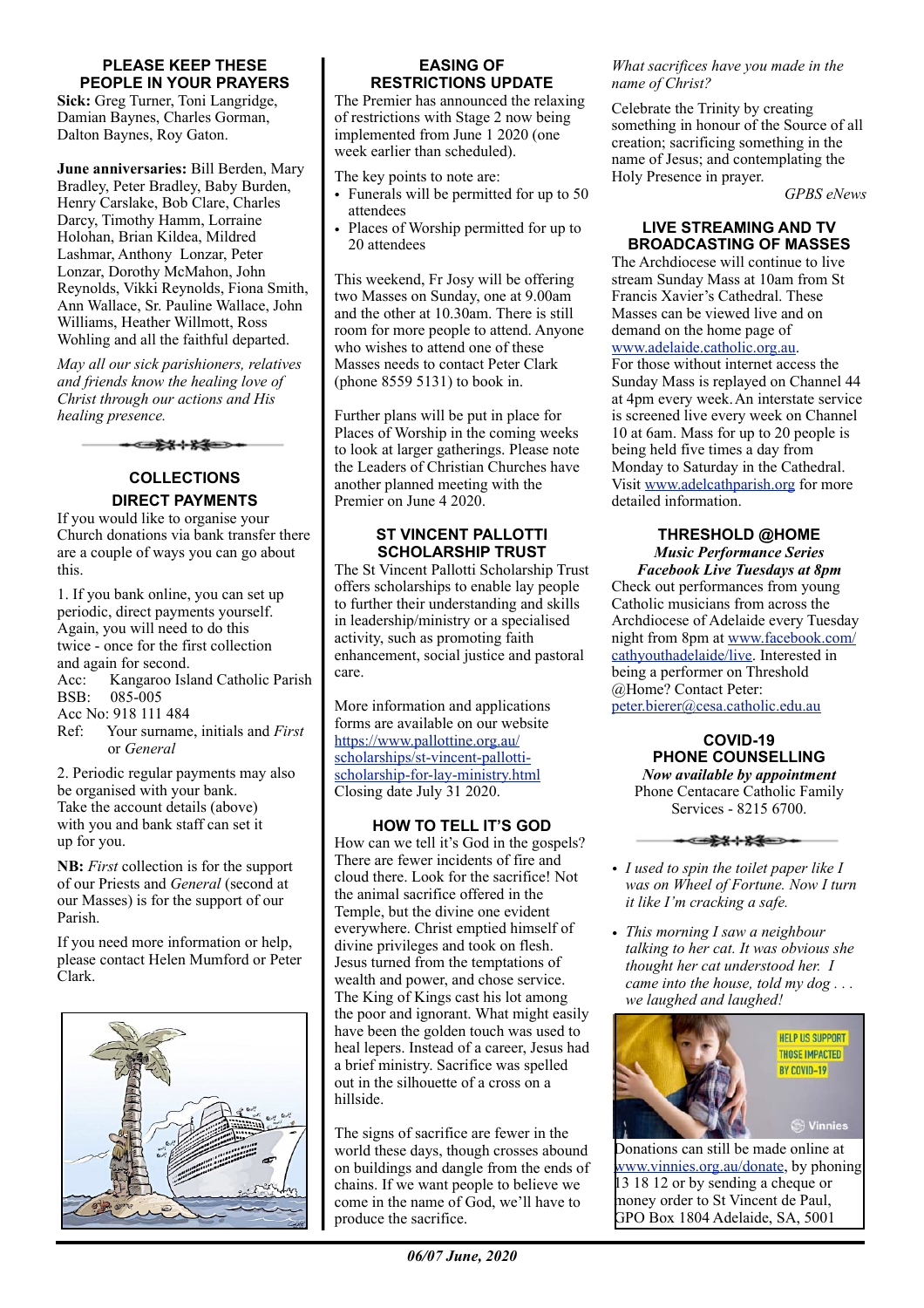#### **PLEASE KEEP THESE PEOPLE IN YOUR PRAYERS**

**Sick:** Greg Turner, Toni Langridge, Damian Baynes, Charles Gorman, Dalton Baynes, Roy Gaton.

**June anniversaries:** Bill Berden, Mary Bradley, Peter Bradley, Baby Burden, Henry Carslake, Bob Clare, Charles Darcy, Timothy Hamm, Lorraine Holohan, Brian Kildea, Mildred Lashmar, Anthony Lonzar, Peter Lonzar, Dorothy McMahon, John Reynolds, Vikki Reynolds, Fiona Smith, Ann Wallace, Sr. Pauline Wallace, John Williams, Heather Willmott, Ross Wohling and all the faithful departed.

*May all our sick parishioners, relatives and friends know the healing love of Christ through our actions and His healing presence.*

▅<del>░▓</del>⊹▓▓▅⋺∙

# **COLLECTIONS**

# **DIRECT PAYMENTS**

If you would like to organise your Church donations via bank transfer there are a couple of ways you can go about this.

1. If you bank online, you can set up periodic, direct payments yourself. Again, you will need to do this twice - once for the first collection and again for second. Acc: Kangaroo Island Catholic Parish BSB: 085-005 Acc No: 918 111 484 Ref: Your surname, initials and *First* or *General*

2. Periodic regular payments may also be organised with your bank. Take the account details (above) with you and bank staff can set it up for you.

**NB:** *First* collection is for the support of our Priests and *General* (second at our Masses) is for the support of our Parish.

If you need more information or help, please contact Helen Mumford or Peter Clark.



#### **EASING OF RESTRICTIONS UPDATE**

The Premier has announced the relaxing of restrictions with Stage 2 now being implemented from June 1 2020 (one week earlier than scheduled).

The key points to note are:

- Funerals will be permitted for up to 50 attendees
- Places of Worship permitted for up to 20 attendees

This weekend, Fr Josy will be offering two Masses on Sunday, one at 9.00am and the other at 10.30am. There is still room for more people to attend. Anyone who wishes to attend one of these Masses needs to contact Peter Clark (phone 8559 5131) to book in.

Further plans will be put in place for Places of Worship in the coming weeks to look at larger gatherings. Please note the Leaders of Christian Churches have another planned meeting with the Premier on June 4 2020.

#### **ST VINCENT PALLOTTI SCHOLARSHIP TRUST**

The St Vincent Pallotti Scholarship Trust offers scholarships to enable lay people to further their understanding and skills in leadership/ministry or a specialised activity, such as promoting faith enhancement, social justice and pastoral care.

More information and applications forms are available on our website [https://www.pallottine.org.au/](https://www.pallottine.org.au/scholarships/st-vincent-pallotti-scholarship-for-lay-ministry.html) [scholarships/st-vincent-pallotti](https://www.pallottine.org.au/scholarships/st-vincent-pallotti-scholarship-for-lay-ministry.html)[scholarship-for-lay-ministry.html](https://www.pallottine.org.au/scholarships/st-vincent-pallotti-scholarship-for-lay-ministry.html) Closing date July 31 2020.

**HOW TO TELL IT'S GOD** How can we tell it's God in the gospels? There are fewer incidents of fire and cloud there. Look for the sacrifice! Not the animal sacrifice offered in the Temple, but the divine one evident everywhere. Christ emptied himself of divine privileges and took on flesh. Jesus turned from the temptations of wealth and power, and chose service. The King of Kings cast his lot among the poor and ignorant. What might easily have been the golden touch was used to heal lepers. Instead of a career, Jesus had a brief ministry. Sacrifice was spelled out in the silhouette of a cross on a hillside.

The signs of sacrifice are fewer in the world these days, though crosses abound on buildings and dangle from the ends of chains. If we want people to believe we come in the name of God, we'll have to produce the sacrifice.

# *06/07 June, 2020*

#### *What sacrifices have you made in the name of Christ?*

Celebrate the Trinity by creating something in honour of the Source of all creation; sacrificing something in the name of Jesus; and contemplating the Holy Presence in prayer.

*GPBS eNews*

#### **LIVE STREAMING AND TV BROADCASTING OF MASSES**

The Archdiocese will continue to live stream Sunday Mass at 10am from St Francis Xavier's Cathedral. These Masses can be viewed live and on demand on the home page of [www.adelaide.catholic.org.au](http://www.adelaide.catholic.org.au). For those without internet access the Sunday Mass is replayed on Channel 44 at 4pm every week.An interstate service is screened live every week on Channel 10 at 6am. Mass for up to 20 people is being held five times a day from Monday to Saturday in the Cathedral. Visit [www.adelcathparish.org](http://www.adelcathparish.org) for more detailed information.

# **THRESHOLD @HOME**  *Music Performance Series Facebook Live Tuesdays at 8pm*

Check out performances from young Catholic musicians from across the Archdiocese of Adelaide every Tuesday night from 8pm at [www.facebook.com/](http://www.facebook.com/cathyouthadelaide/live) [cathyouthadelaide/live](http://www.facebook.com/cathyouthadelaide/live). Interested in being a performer on Threshold @Home? Contact Peter: [peter.bierer@cesa.catholic.edu.au](mailto:peter.bierer@cesa.catholic.edu.au)

**COVID-19 PHONE COUNSELLING**  *Now available by appointment* Phone Centacare Catholic Family Services - 8215 6700.

<del>੶Œ⋭⋭⋕⋭⋬⋿⋗</del>

- *• I used to spin the toilet paper like I was on Wheel of Fortune. Now I turn it like I'm cracking a safe.*
- *• This morning I saw a neighbour talking to her cat. It was obvious she thought her cat understood her. I came into the house, told my dog . . . we laughed and laughed!*

*•*



Donations can still be made online at [www.vinnies.org.au/donate,](http://www.vinnies.org.au/donate) by phoning 13 18 12 or by sending a cheque or money order to St Vincent de Paul, GPO Box 1804 Adelaide, SA, 5001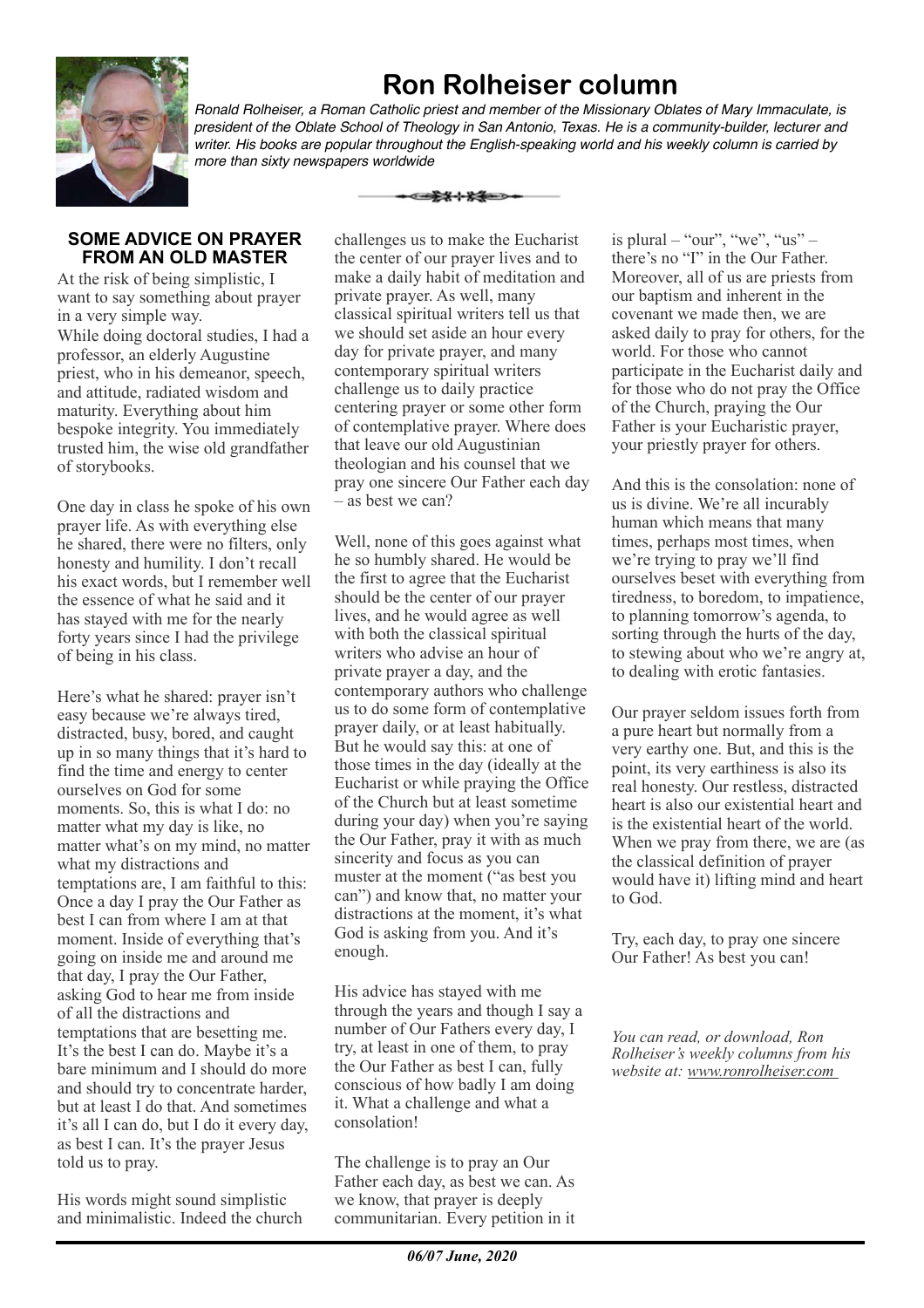# **Ron Rolheiser column**



*Ronald Rolheiser, a Roman Catholic priest and member of the Missionary Oblates of Mary Immaculate, is president of the Oblate School of Theology in San Antonio, Texas. He is a community-builder, lecturer and writer. His books are popular throughout the English-speaking world and his weekly column is carried by more than sixty newspapers worldwide*

#### **SOME ADVICE ON PRAYER FROM AN OLD MASTER**

At the risk of being simplistic, I want to say something about prayer in a very simple way. While doing doctoral studies, I had a professor, an elderly Augustine priest, who in his demeanor, speech, and attitude, radiated wisdom and maturity. Everything about him bespoke integrity. You immediately trusted him, the wise old grandfather of storybooks.

One day in class he spoke of his own prayer life. As with everything else he shared, there were no filters, only honesty and humility. I don't recall his exact words, but I remember well the essence of what he said and it has stayed with me for the nearly forty years since I had the privilege of being in his class.

Here's what he shared: prayer isn't easy because we're always tired, distracted, busy, bored, and caught up in so many things that it's hard to find the time and energy to center ourselves on God for some moments. So, this is what I do: no matter what my day is like, no matter what's on my mind, no matter what my distractions and temptations are, I am faithful to this: Once a day I pray the Our Father as best I can from where I am at that moment. Inside of everything that's going on inside me and around me that day, I pray the Our Father, asking God to hear me from inside of all the distractions and temptations that are besetting me. It's the best I can do. Maybe it's a bare minimum and I should do more and should try to concentrate harder, but at least I do that. And sometimes it's all I can do, but I do it every day, as best I can. It's the prayer Jesus told us to pray.

His words might sound simplistic and minimalistic. Indeed the church

challenges us to make the Eucharist the center of our prayer lives and to make a daily habit of meditation and private prayer. As well, many classical spiritual writers tell us that we should set aside an hour every day for private prayer, and many contemporary spiritual writers challenge us to daily practice centering prayer or some other form of contemplative prayer. Where does that leave our old Augustinian theologian and his counsel that we pray one sincere Our Father each day – as best we can?

▅<del>▛</del>▓⊹▓▓▅

Well, none of this goes against what he so humbly shared. He would be the first to agree that the Eucharist should be the center of our prayer lives, and he would agree as well with both the classical spiritual writers who advise an hour of private prayer a day, and the contemporary authors who challenge us to do some form of contemplative prayer daily, or at least habitually. But he would say this: at one of those times in the day (ideally at the Eucharist or while praying the Office of the Church but at least sometime during your day) when you're saying the Our Father, pray it with as much sincerity and focus as you can muster at the moment ("as best you can") and know that, no matter your distractions at the moment, it's what God is asking from you. And it's enough.

His advice has stayed with me through the years and though I say a number of Our Fathers every day, I try, at least in one of them, to pray the Our Father as best I can, fully conscious of how badly I am doing it. What a challenge and what a consolation!

The challenge is to pray an Our Father each day, as best we can. As we know, that prayer is deeply communitarian. Every petition in it is plural  $-$  "our", "we", "us"  $$ there's no "I" in the Our Father. Moreover, all of us are priests from our baptism and inherent in the covenant we made then, we are asked daily to pray for others, for the world. For those who cannot participate in the Eucharist daily and for those who do not pray the Office of the Church, praying the Our Father is your Eucharistic prayer, your priestly prayer for others.

And this is the consolation: none of us is divine. We're all incurably human which means that many times, perhaps most times, when we're trying to pray we'll find ourselves beset with everything from tiredness, to boredom, to impatience, to planning tomorrow's agenda, to sorting through the hurts of the day, to stewing about who we're angry at, to dealing with erotic fantasies.

Our prayer seldom issues forth from a pure heart but normally from a very earthy one. But, and this is the point, its very earthiness is also its real honesty. Our restless, distracted heart is also our existential heart and is the existential heart of the world. When we pray from there, we are (as the classical definition of prayer would have it) lifting mind and heart to God.

Try, each day, to pray one sincere Our Father! As best you can!

*You can read, or download, Ron Rolheiser's weekly columns from his website at: www.ronrolheiser.com*